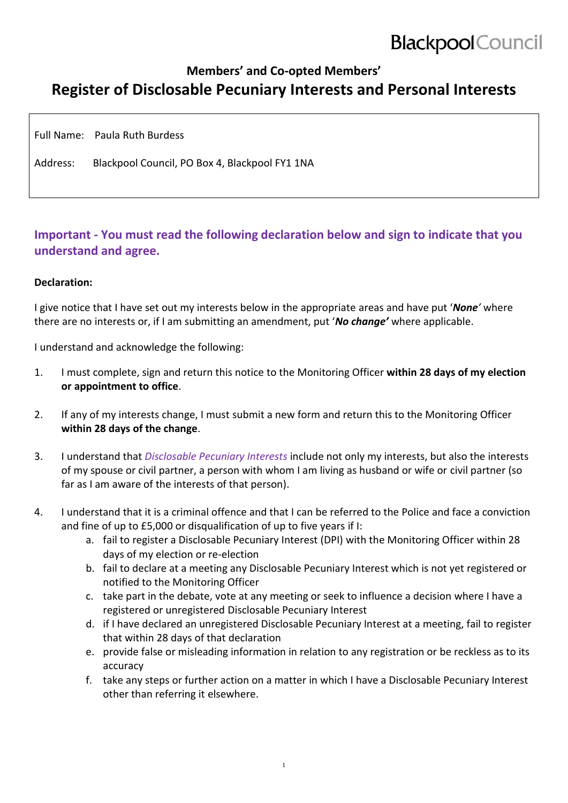# **Blackpool** Council

# **Members' and Co-opted Members' Register of Disclosable Pecuniary Interests and Personal Interests**

Full Name: Paula Ruth Burdess

Address: Blackpool Council, PO Box 4, Blackpool FY1 1NA

### **Important - You must read the following declaration below and sign to indicate that you understand and agree.**

#### **Declaration:**

I give notice that I have set out my interests below in the appropriate areas and have put '*None'* where there are no interests or, if I am submitting an amendment, put '*No change'* where applicable.

I understand and acknowledge the following:

- 1. I must complete, sign and return this notice to the Monitoring Officer **within 28 days of my election or appointment to office**.
- 2. If any of my interests change, I must submit a new form and return this to the Monitoring Officer **within 28 days of the change**.
- 3. I understand that *Disclosable Pecuniary Interests* include not only my interests, but also the interests of my spouse or civil partner, a person with whom I am living as husband or wife or civil partner (so far as I am aware of the interests of that person).
- 4. I understand that it is a criminal offence and that I can be referred to the Police and face a conviction and fine of up to £5,000 or disqualification of up to five years if I:
	- a. fail to register a Disclosable Pecuniary Interest (DPI) with the Monitoring Officer within 28 days of my election or re-election
	- b. fail to declare at a meeting any Disclosable Pecuniary Interest which is not yet registered or notified to the Monitoring Officer
	- c. take part in the debate, vote at any meeting or seek to influence a decision where I have a registered or unregistered Disclosable Pecuniary Interest
	- d. if I have declared an unregistered Disclosable Pecuniary Interest at a meeting, fail to register that within 28 days of that declaration
	- e. provide false or misleading information in relation to any registration or be reckless as to its accuracy
	- f. take any steps or further action on a matter in which I have a Disclosable Pecuniary Interest other than referring it elsewhere.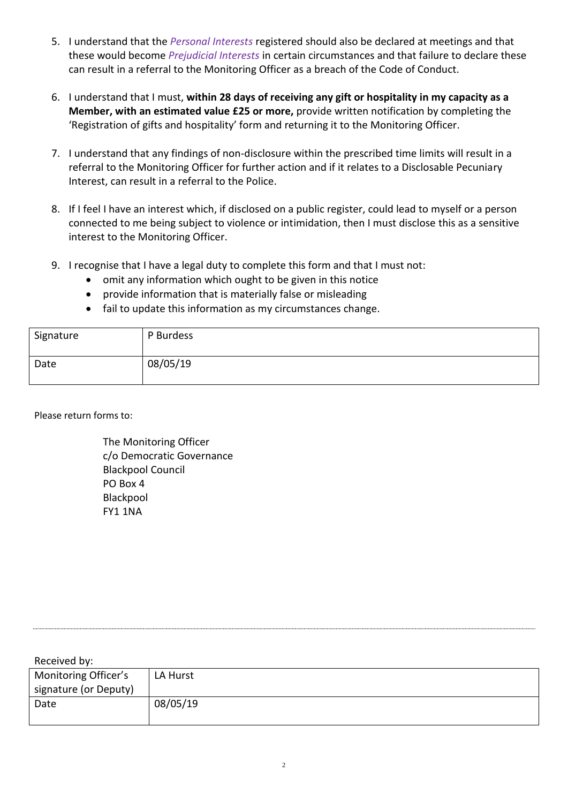- 5. I understand that the *Personal Interests* registered should also be declared at meetings and that these would become *Prejudicial Interests* in certain circumstances and that failure to declare these can result in a referral to the Monitoring Officer as a breach of the Code of Conduct.
- 6. I understand that I must, **within 28 days of receiving any gift or hospitality in my capacity as a Member, with an estimated value £25 or more,** provide written notification by completing the 'Registration of gifts and hospitality' form and returning it to the Monitoring Officer.
- 7. I understand that any findings of non-disclosure within the prescribed time limits will result in a referral to the Monitoring Officer for further action and if it relates to a Disclosable Pecuniary Interest, can result in a referral to the Police.
- 8. If I feel I have an interest which, if disclosed on a public register, could lead to myself or a person connected to me being subject to violence or intimidation, then I must disclose this as a sensitive interest to the Monitoring Officer.
- 9. I recognise that I have a legal duty to complete this form and that I must not:
	- omit any information which ought to be given in this notice
	- provide information that is materially false or misleading
	- fail to update this information as my circumstances change.

| Signature | P Burdess |
|-----------|-----------|
| Date      | 08/05/19  |

Please return forms to:

The Monitoring Officer c/o Democratic Governance Blackpool Council PO Box 4 Blackpool FY1 1NA

Received by: Monitoring Officer's LA Hurst

| Monitoring Officer's  | LA Hurst |
|-----------------------|----------|
| signature (or Deputy) |          |
| Date                  | 08/05/19 |
|                       |          |
|                       |          |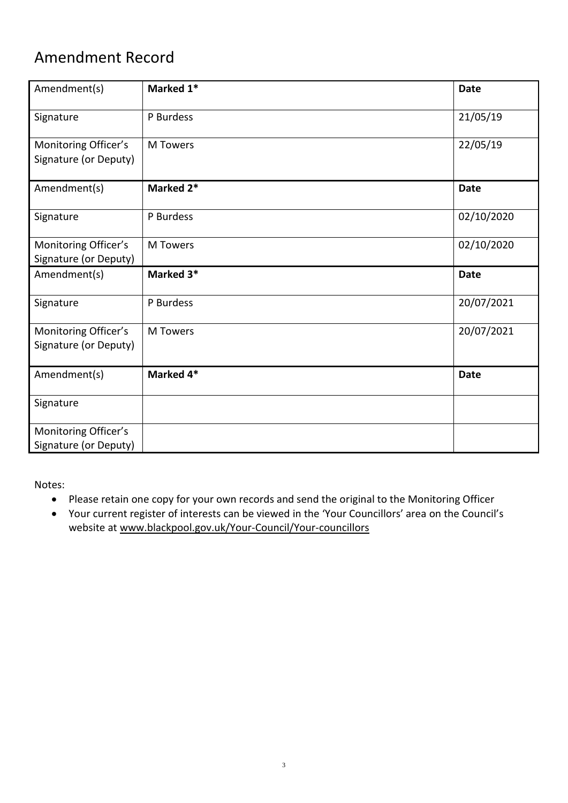# Amendment Record

| Amendment(s)                                  | Marked 1*       | <b>Date</b> |
|-----------------------------------------------|-----------------|-------------|
| Signature                                     | P Burdess       | 21/05/19    |
| Monitoring Officer's<br>Signature (or Deputy) | <b>M</b> Towers | 22/05/19    |
| Amendment(s)                                  | Marked 2*       | <b>Date</b> |
| Signature                                     | P Burdess       | 02/10/2020  |
| Monitoring Officer's<br>Signature (or Deputy) | <b>M</b> Towers | 02/10/2020  |
| Amendment(s)                                  | Marked 3*       | <b>Date</b> |
| Signature                                     | P Burdess       | 20/07/2021  |
| Monitoring Officer's<br>Signature (or Deputy) | <b>M</b> Towers | 20/07/2021  |
| Amendment(s)                                  | Marked 4*       | <b>Date</b> |
| Signature                                     |                 |             |
| Monitoring Officer's<br>Signature (or Deputy) |                 |             |

Notes:

- Please retain one copy for your own records and send the original to the Monitoring Officer
- Your current register of interests can be viewed in the 'Your Councillors' area on the Council's website at [www.blackpool.gov.uk/Your-Council/Your-councillors](http://www.blackpool.gov.uk/Your-Council/Your-councillors)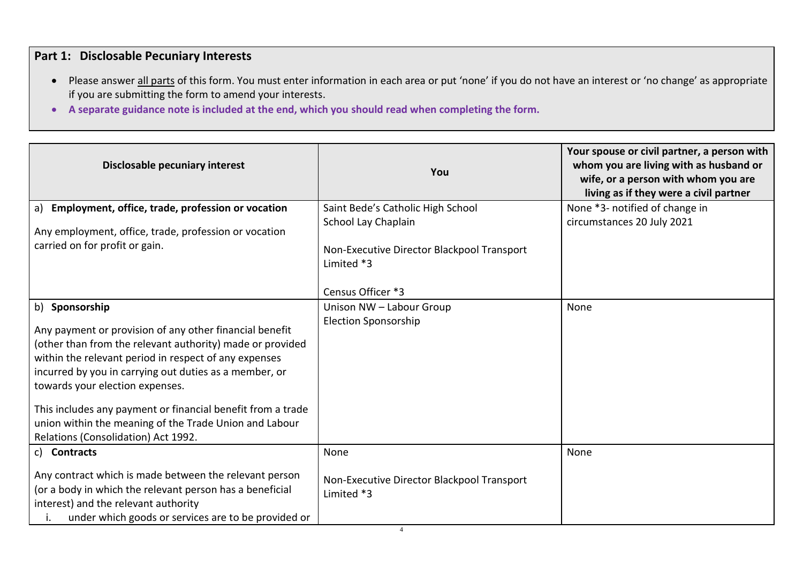## **Part 1: Disclosable Pecuniary Interests**

- Please answer all parts of this form. You must enter information in each area or put 'none' if you do not have an interest or 'no change' as appropriate if you are submitting the form to amend your interests.
- **A separate guidance note is included at the end, which you should read when completing the form.**

| Disclosable pecuniary interest                                                                                                                                                                                                                                                                                                                                                                                                                               | You                                                                                                                                       | Your spouse or civil partner, a person with<br>whom you are living with as husband or<br>wife, or a person with whom you are<br>living as if they were a civil partner |
|--------------------------------------------------------------------------------------------------------------------------------------------------------------------------------------------------------------------------------------------------------------------------------------------------------------------------------------------------------------------------------------------------------------------------------------------------------------|-------------------------------------------------------------------------------------------------------------------------------------------|------------------------------------------------------------------------------------------------------------------------------------------------------------------------|
| a) Employment, office, trade, profession or vocation<br>Any employment, office, trade, profession or vocation<br>carried on for profit or gain.                                                                                                                                                                                                                                                                                                              | Saint Bede's Catholic High School<br>School Lay Chaplain<br>Non-Executive Director Blackpool Transport<br>Limited *3<br>Census Officer *3 | None *3- notified of change in<br>circumstances 20 July 2021                                                                                                           |
| b) Sponsorship<br>Any payment or provision of any other financial benefit<br>(other than from the relevant authority) made or provided<br>within the relevant period in respect of any expenses<br>incurred by you in carrying out duties as a member, or<br>towards your election expenses.<br>This includes any payment or financial benefit from a trade<br>union within the meaning of the Trade Union and Labour<br>Relations (Consolidation) Act 1992. | Unison NW - Labour Group<br><b>Election Sponsorship</b>                                                                                   | None                                                                                                                                                                   |
| c) Contracts<br>Any contract which is made between the relevant person<br>(or a body in which the relevant person has a beneficial<br>interest) and the relevant authority<br>under which goods or services are to be provided or                                                                                                                                                                                                                            | None<br>Non-Executive Director Blackpool Transport<br>Limited *3                                                                          | None                                                                                                                                                                   |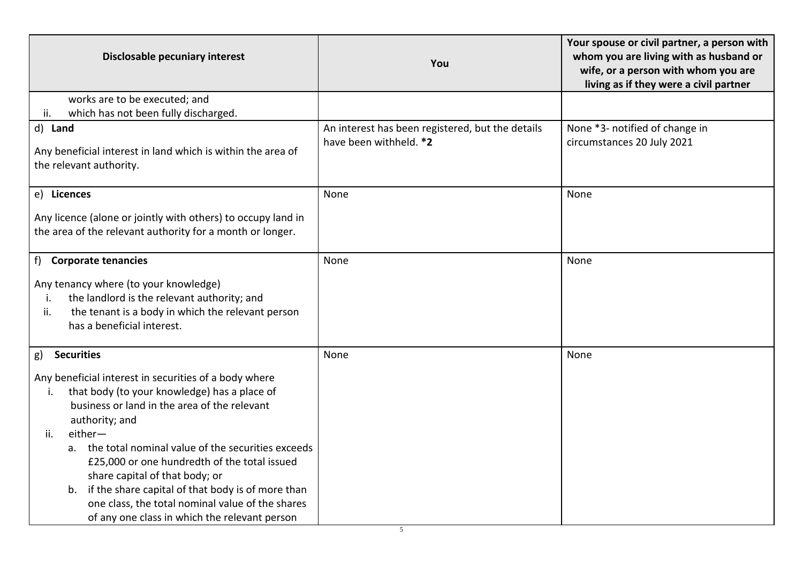| Disclosable pecuniary interest                                                                                                                                                                                                                                                                                                                                                                                                                                                                                                       | You                                                                        | Your spouse or civil partner, a person with<br>whom you are living with as husband or<br>wife, or a person with whom you are<br>living as if they were a civil partner |
|--------------------------------------------------------------------------------------------------------------------------------------------------------------------------------------------------------------------------------------------------------------------------------------------------------------------------------------------------------------------------------------------------------------------------------------------------------------------------------------------------------------------------------------|----------------------------------------------------------------------------|------------------------------------------------------------------------------------------------------------------------------------------------------------------------|
| works are to be executed; and<br>which has not been fully discharged.<br>ii.                                                                                                                                                                                                                                                                                                                                                                                                                                                         |                                                                            |                                                                                                                                                                        |
| d) Land<br>Any beneficial interest in land which is within the area of<br>the relevant authority.                                                                                                                                                                                                                                                                                                                                                                                                                                    | An interest has been registered, but the details<br>have been withheld. *2 | None *3- notified of change in<br>circumstances 20 July 2021                                                                                                           |
| e) Licences<br>Any licence (alone or jointly with others) to occupy land in<br>the area of the relevant authority for a month or longer.                                                                                                                                                                                                                                                                                                                                                                                             | None                                                                       | None                                                                                                                                                                   |
| f) Corporate tenancies<br>Any tenancy where (to your knowledge)<br>the landlord is the relevant authority; and<br>i.<br>the tenant is a body in which the relevant person<br>ii.<br>has a beneficial interest.                                                                                                                                                                                                                                                                                                                       | None                                                                       | None                                                                                                                                                                   |
| <b>Securities</b><br>g)<br>Any beneficial interest in securities of a body where<br>that body (to your knowledge) has a place of<br>i.<br>business or land in the area of the relevant<br>authority; and<br>either-<br>ii.<br>a. the total nominal value of the securities exceeds<br>£25,000 or one hundredth of the total issued<br>share capital of that body; or<br>if the share capital of that body is of more than<br>b.<br>one class, the total nominal value of the shares<br>of any one class in which the relevant person | None                                                                       | None                                                                                                                                                                   |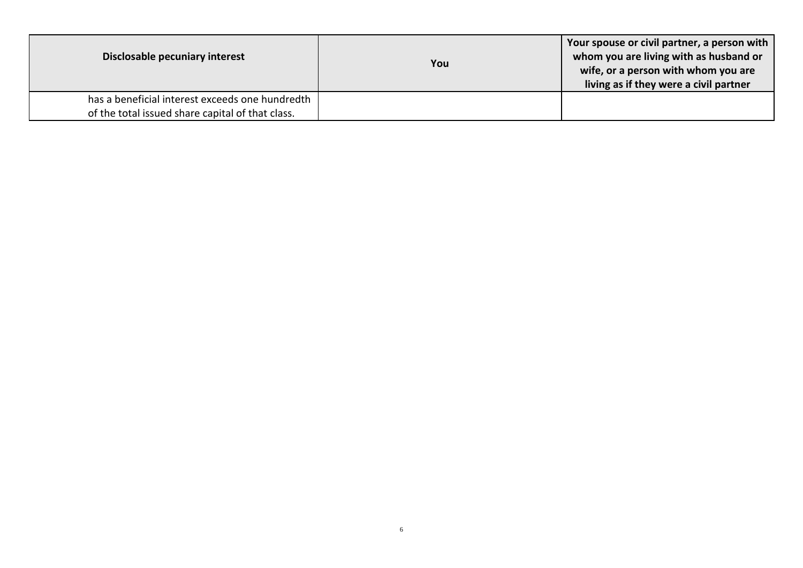| Disclosable pecuniary interest                                                                      | You | Your spouse or civil partner, a person with<br>whom you are living with as husband or<br>wife, or a person with whom you are<br>living as if they were a civil partner |
|-----------------------------------------------------------------------------------------------------|-----|------------------------------------------------------------------------------------------------------------------------------------------------------------------------|
| has a beneficial interest exceeds one hundredth<br>of the total issued share capital of that class. |     |                                                                                                                                                                        |